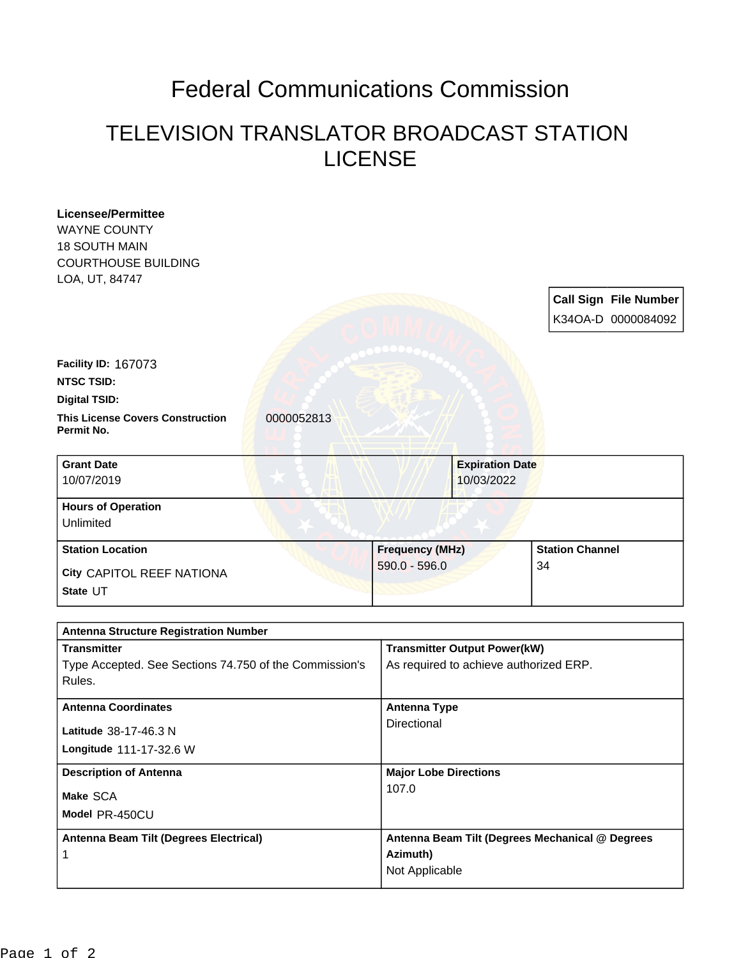## Federal Communications Commission

## TELEVISION TRANSLATOR BROADCAST STATION LICENSE

| <b>Licensee/Permittee</b>                                          |            |                              |                                                                               |                        |                              |
|--------------------------------------------------------------------|------------|------------------------------|-------------------------------------------------------------------------------|------------------------|------------------------------|
| <b>WAYNE COUNTY</b>                                                |            |                              |                                                                               |                        |                              |
| <b>18 SOUTH MAIN</b>                                               |            |                              |                                                                               |                        |                              |
| <b>COURTHOUSE BUILDING</b>                                         |            |                              |                                                                               |                        |                              |
| LOA, UT, 84747                                                     |            |                              |                                                                               |                        |                              |
|                                                                    |            |                              |                                                                               |                        | <b>Call Sign File Number</b> |
|                                                                    |            |                              |                                                                               |                        | K34OA-D 0000084092           |
|                                                                    |            |                              |                                                                               |                        |                              |
| Facility ID: 167073                                                |            |                              |                                                                               |                        |                              |
| <b>NTSC TSID:</b>                                                  |            |                              |                                                                               |                        |                              |
| <b>Digital TSID:</b>                                               |            |                              |                                                                               |                        |                              |
| <b>This License Covers Construction</b><br>Permit No.              | 0000052813 |                              |                                                                               |                        |                              |
| <b>Grant Date</b>                                                  |            |                              | <b>Expiration Date</b>                                                        |                        |                              |
| 10/07/2019                                                         |            |                              | 10/03/2022                                                                    |                        |                              |
| <b>Hours of Operation</b>                                          |            |                              |                                                                               |                        |                              |
| Unlimited                                                          |            |                              |                                                                               |                        |                              |
| <b>Station Location</b>                                            |            | <b>Frequency (MHz)</b>       |                                                                               | <b>Station Channel</b> |                              |
| City CAPITOL REEF NATIONA                                          |            | $590.0 - 596.0$              |                                                                               | 34                     |                              |
| State UT                                                           |            |                              |                                                                               |                        |                              |
|                                                                    |            |                              |                                                                               |                        |                              |
| <b>Antenna Structure Registration Number</b><br><b>Transmitter</b> |            |                              |                                                                               |                        |                              |
| Type Accepted. See Sections 74.750 of the Commission's             |            |                              | <b>Transmitter Output Power(kW)</b><br>As required to achieve authorized ERP. |                        |                              |
| Rules.                                                             |            |                              |                                                                               |                        |                              |
| <b>Antenna Coordinates</b>                                         |            |                              | <b>Antenna Type</b>                                                           |                        |                              |
| Latitude 38-17-46.3 N                                              |            | Directional                  |                                                                               |                        |                              |
| Longitude 111-17-32.6 W                                            |            |                              |                                                                               |                        |                              |
| <b>Description of Antenna</b>                                      |            | <b>Major Lobe Directions</b> |                                                                               |                        |                              |
| Make SCA                                                           |            | 107.0                        |                                                                               |                        |                              |
| Model PR-450CU                                                     |            |                              |                                                                               |                        |                              |
| Antenna Beam Tilt (Degrees Electrical)                             |            |                              | Antenna Beam Tilt (Degrees Mechanical @ Degrees                               |                        |                              |
| 1                                                                  |            | Azimuth)                     |                                                                               |                        |                              |
|                                                                    |            | Not Applicable               |                                                                               |                        |                              |